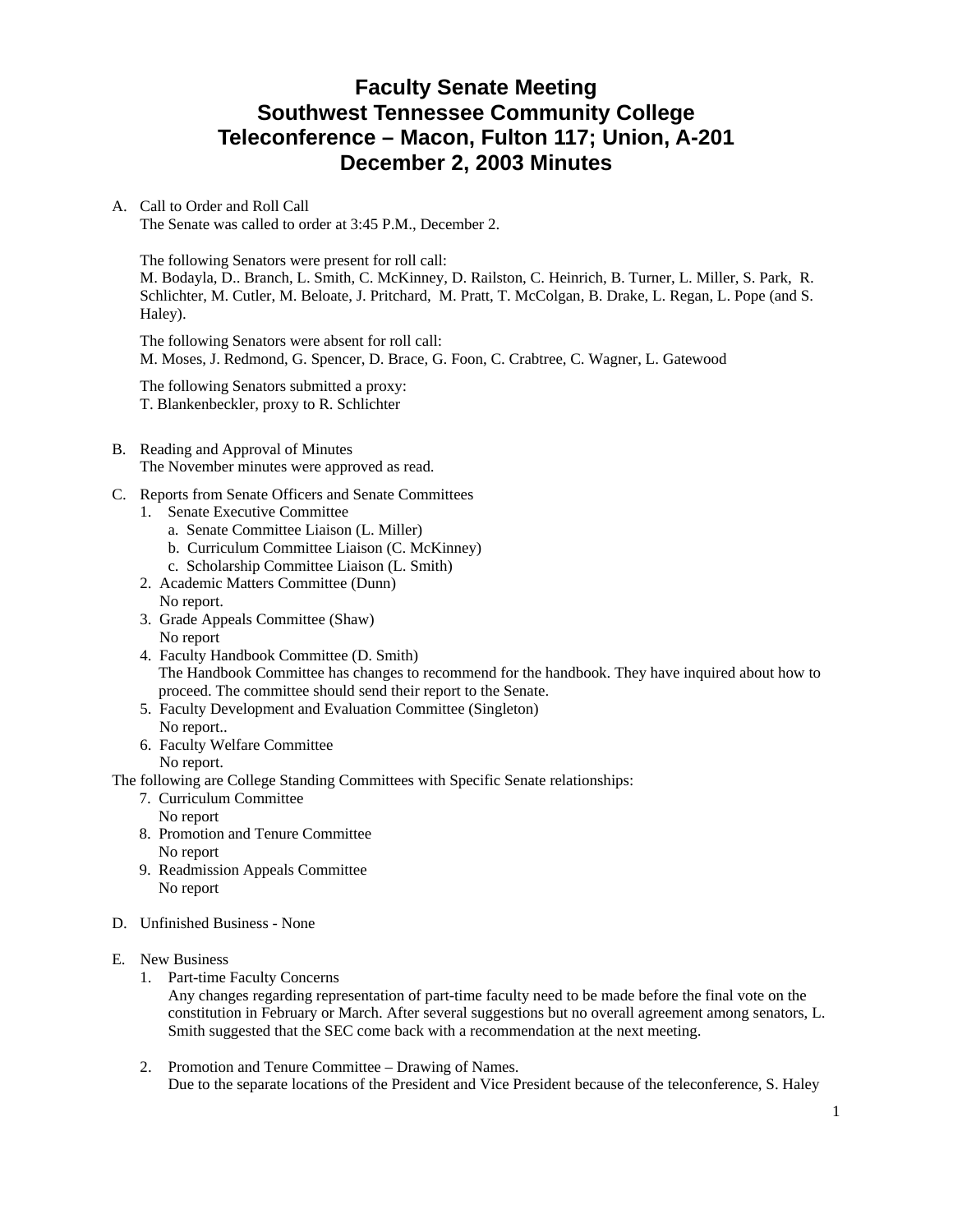# **Faculty Senate Meeting Southwest Tennessee Community College Teleconference – Macon, Fulton 117; Union, A-201 December 2, 2003 Minutes**

### A. Call to Order and Roll Call

The Senate was called to order at 3:45 P.M., December 2.

The following Senators were present for roll call: M. Bodayla, D.. Branch, L. Smith, C. McKinney, D. Railston, C. Heinrich, B. Turner, L. Miller, S. Park, R. Schlichter, M. Cutler, M. Beloate, J. Pritchard, M. Pratt, T. McColgan, B. Drake, L. Regan, L. Pope (and S. Haley).

The following Senators were absent for roll call: M. Moses, J. Redmond, G. Spencer, D. Brace, G. Foon, C. Crabtree, C. Wagner, L. Gatewood

The following Senators submitted a proxy: T. Blankenbeckler, proxy to R. Schlichter

- B. Reading and Approval of Minutes The November minutes were approved as read.
- C. Reports from Senate Officers and Senate Committees
	- 1. Senate Executive Committee
		- a. Senate Committee Liaison (L. Miller)
		- b. Curriculum Committee Liaison (C. McKinney)
		- c. Scholarship Committee Liaison (L. Smith)
	- 2. Academic Matters Committee (Dunn) No report.
	- 3. Grade Appeals Committee (Shaw) No report
	- 4. Faculty Handbook Committee (D. Smith) The Handbook Committee has changes to recommend for the handbook. They have inquired about how to proceed. The committee should send their report to the Senate.
	- 5. Faculty Development and Evaluation Committee (Singleton)
	- No report..
	- 6. Faculty Welfare Committee No report.

The following are College Standing Committees with Specific Senate relationships:

- 7. Curriculum Committee No report
- 8. Promotion and Tenure Committee No report
- 9. Readmission Appeals Committee No report
- D. Unfinished Business None

### E. New Business

1. Part-time Faculty Concerns

Any changes regarding representation of part-time faculty need to be made before the final vote on the constitution in February or March. After several suggestions but no overall agreement among senators, L. Smith suggested that the SEC come back with a recommendation at the next meeting.

2. Promotion and Tenure Committee – Drawing of Names. Due to the separate locations of the President and Vice President because of the teleconference, S. Haley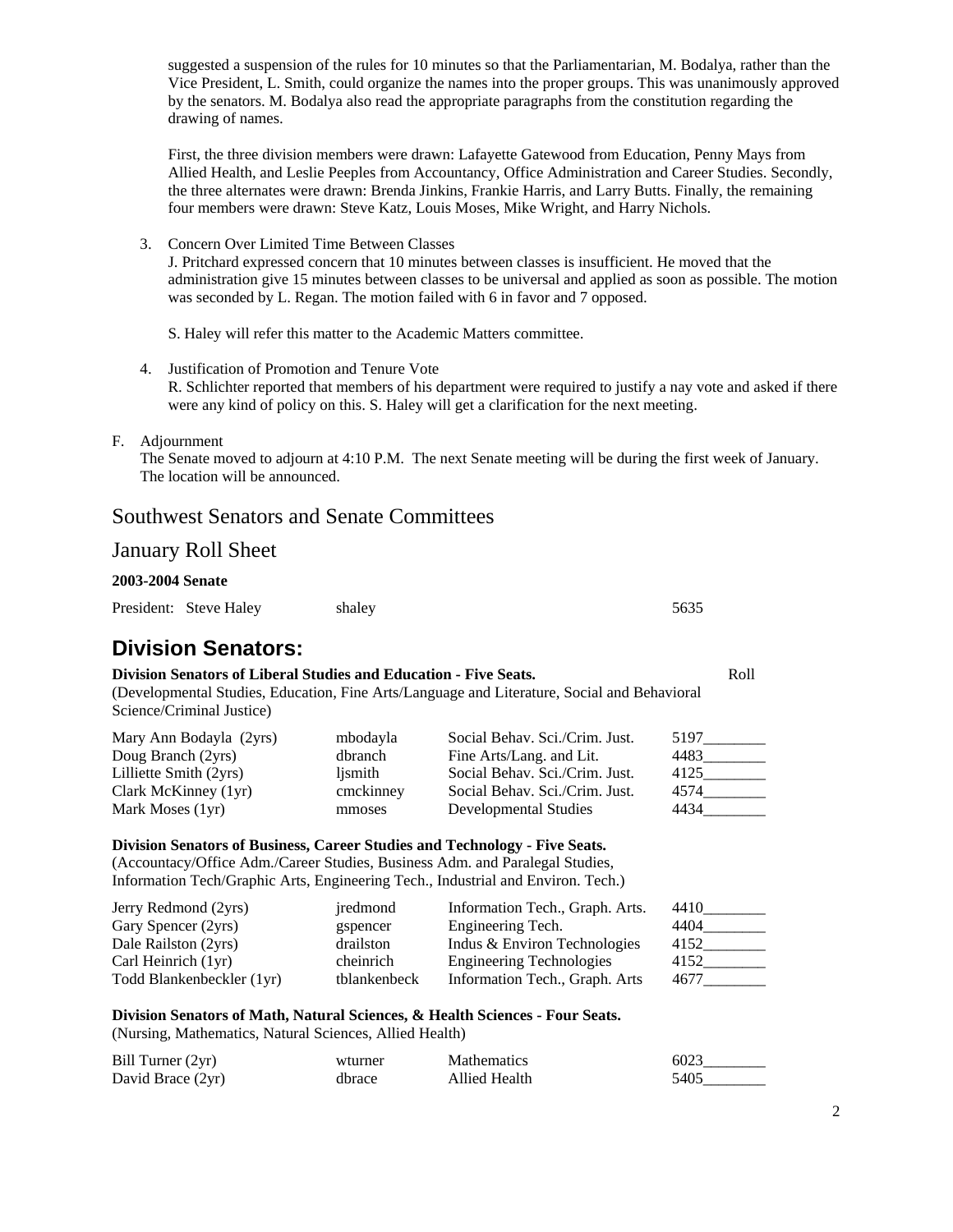suggested a suspension of the rules for 10 minutes so that the Parliamentarian, M. Bodalya, rather than the Vice President, L. Smith, could organize the names into the proper groups. This was unanimously approved by the senators. M. Bodalya also read the appropriate paragraphs from the constitution regarding the drawing of names.

First, the three division members were drawn: Lafayette Gatewood from Education, Penny Mays from Allied Health, and Leslie Peeples from Accountancy, Office Administration and Career Studies. Secondly, the three alternates were drawn: Brenda Jinkins, Frankie Harris, and Larry Butts. Finally, the remaining four members were drawn: Steve Katz, Louis Moses, Mike Wright, and Harry Nichols.

3. Concern Over Limited Time Between Classes J. Pritchard expressed concern that 10 minutes between classes is insufficient. He moved that the administration give 15 minutes between classes to be universal and applied as soon as possible. The motion was seconded by L. Regan. The motion failed with 6 in favor and 7 opposed.

S. Haley will refer this matter to the Academic Matters committee.

4. Justification of Promotion and Tenure Vote R. Schlichter reported that members of his department were required to justify a nay vote and asked if there were any kind of policy on this. S. Haley will get a clarification for the next meeting.

### F. Adjournment

The Senate moved to adjourn at 4:10 P.M. The next Senate meeting will be during the first week of January. The location will be announced.

### Southwest Senators and Senate Committees

### January Roll Sheet

### **2003-2004 Senate**

|  | President: Steve Haley | shalev | 5635 |
|--|------------------------|--------|------|
|--|------------------------|--------|------|

# **Division Senators:**

### **Division Senators of Liberal Studies and Education - Five Seats.** Roll

(Developmental Studies, Education, Fine Arts/Language and Literature, Social and Behavioral Science/Criminal Justice)

| Mary Ann Bodayla (2yrs) | mbodayla  | Social Behav. Sci./Crim. Just. | 5197 |
|-------------------------|-----------|--------------------------------|------|
| Doug Branch (2yrs)      | dbranch   | Fine Arts/Lang. and Lit.       | 4483 |
| Lilliette Smith (2yrs)  | lismith   | Social Behav. Sci./Crim. Just. | 4125 |
| Clark McKinney (1yr)    | cmckinney | Social Behav. Sci./Crim. Just. | 4574 |
| Mark Moses (1yr)        | mmoses    | Developmental Studies          | 4434 |

### **Division Senators of Business, Career Studies and Technology - Five Seats.**  (Accountacy/Office Adm./Career Studies, Business Adm. and Paralegal Studies, Information Tech/Graphic Arts, Engineering Tech., Industrial and Environ. Tech.)

| Jerry Redmond (2yrs)      | jredmond     | Information Tech., Graph. Arts. | 4410 |
|---------------------------|--------------|---------------------------------|------|
| Gary Spencer (2yrs)       | gspencer     | Engineering Tech.               | 4404 |
| Dale Railston (2yrs)      | drailston    | Indus & Environ Technologies    | 4152 |
| Carl Heinrich (1yr)       | cheinrich    | <b>Engineering Technologies</b> | 4152 |
| Todd Blankenbeckler (1yr) | tblankenbeck | Information Tech., Graph. Arts  | 4677 |

#### **Division Senators of Math, Natural Sciences, & Health Sciences - Four Seats.**  (Nursing, Mathematics, Natural Sciences, Allied Health)

| Bill Turner (2yr) | wturner | <b>Mathematics</b> | 6023 |
|-------------------|---------|--------------------|------|
| David Brace (2yr) | dbrace  | Allied Health      | 5405 |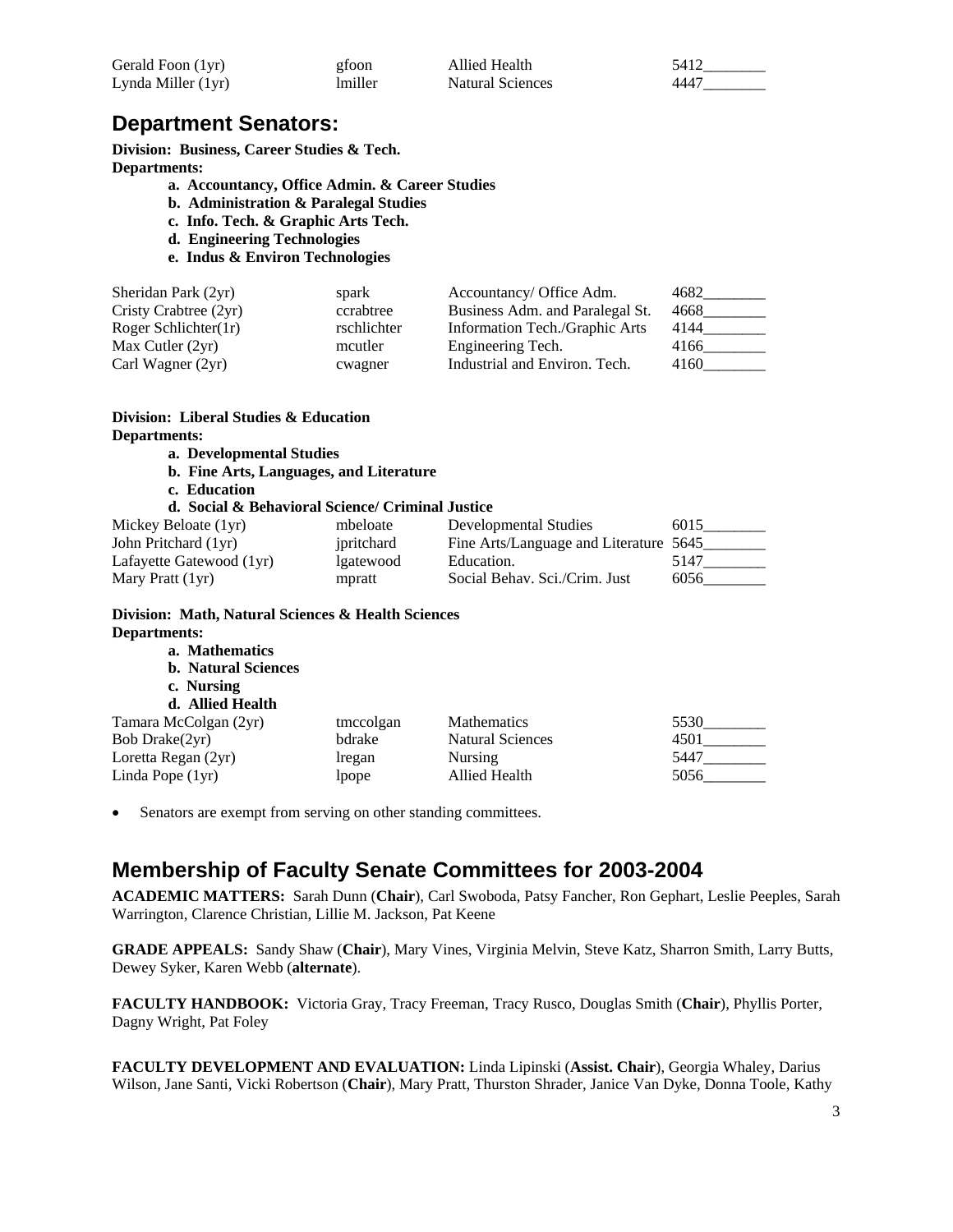| Gerald Foon (1yr)  | gfoon          | Allied Health    |      |
|--------------------|----------------|------------------|------|
| Lynda Miller (1yr) | <i>Imiller</i> | Natural Sciences | 4447 |

## **Department Senators:**

**Division: Business, Career Studies & Tech.** 

**Departments:** 

- **a. Accountancy, Office Admin. & Career Studies**
- **b. Administration & Paralegal Studies**
- **c. Info. Tech. & Graphic Arts Tech.**
- **d. Engineering Technologies**
- **e. Indus & Environ Technologies**

| Sheridan Park (2yr)   | spark       | Accountancy/ Office Adm.        | 4682 |
|-----------------------|-------------|---------------------------------|------|
| Cristy Crabtree (2yr) | ccrabtree   | Business Adm. and Paralegal St. | 4668 |
| Roger Schlichter(1r)  | rschlichter | Information Tech./Graphic Arts  | 4144 |
| Max Cutler $(2yr)$    | mcutler     | Engineering Tech.               | 4166 |
| Carl Wagner (2yr)     | cwagner     | Industrial and Environ. Tech.   | 4160 |

| Division: Liberal Studies & Education<br>Departments:<br>a. Developmental Studies    |            |                                   |                                  |  |  |
|--------------------------------------------------------------------------------------|------------|-----------------------------------|----------------------------------|--|--|
| b. Fine Arts, Languages, and Literature                                              |            |                                   |                                  |  |  |
| c. Education                                                                         |            |                                   |                                  |  |  |
| d. Social & Behavioral Science/ Criminal Justice                                     |            |                                   |                                  |  |  |
| Mickey Beloate (1yr)                                                                 | mbeloate   | Developmental Studies             |                                  |  |  |
| John Pritchard (1yr)                                                                 | jpritchard | Fine Arts/Language and Literature |                                  |  |  |
| Lafayette Gatewood (1yr)                                                             | lgatewood  | Education.                        | $5147$ <sub>______________</sub> |  |  |
| Mary Pratt (1yr)                                                                     | mpratt     | Social Behav. Sci./Crim. Just     | 6056 — 100                       |  |  |
| Division: Math, Natural Sciences & Health Sciences<br>Departments:<br>a. Mathematics |            |                                   |                                  |  |  |
| <b>b.</b> Natural Sciences                                                           |            |                                   |                                  |  |  |
| c. Nursing                                                                           |            |                                   |                                  |  |  |
| d. Allied Health                                                                     |            |                                   |                                  |  |  |
| Tamara McColgan (2yr)                                                                | tmccolgan  | <b>Mathematics</b>                | 5530                             |  |  |
| Bob Drake(2yr)                                                                       | bdrake     | <b>Natural Sciences</b>           | 4501                             |  |  |
| Loretta Regan (2yr)                                                                  | lregan     | Nursing                           | 5447                             |  |  |
| Linda Pope (1yr)                                                                     | lpope      | Allied Health                     | 5056                             |  |  |

Senators are exempt from serving on other standing committees.

## **Membership of Faculty Senate Committees for 2003-2004**

**ACADEMIC MATTERS:** Sarah Dunn (**Chair**), Carl Swoboda, Patsy Fancher, Ron Gephart, Leslie Peeples, Sarah Warrington, Clarence Christian, Lillie M. Jackson, Pat Keene

**GRADE APPEALS:** Sandy Shaw (**Chair**), Mary Vines, Virginia Melvin, Steve Katz, Sharron Smith, Larry Butts, Dewey Syker, Karen Webb (**alternate**).

**FACULTY HANDBOOK:** Victoria Gray, Tracy Freeman, Tracy Rusco, Douglas Smith (**Chair**), Phyllis Porter, Dagny Wright, Pat Foley

**FACULTY DEVELOPMENT AND EVALUATION:** Linda Lipinski (**Assist. Chair**), Georgia Whaley, Darius Wilson, Jane Santi, Vicki Robertson (**Chair**), Mary Pratt, Thurston Shrader, Janice Van Dyke, Donna Toole, Kathy